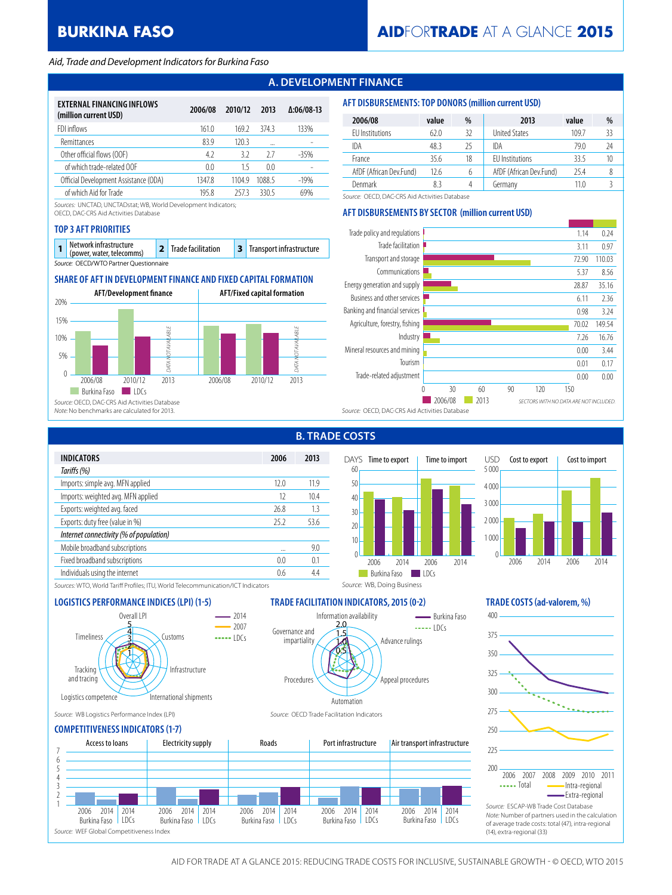# **BURKINA FASO**

#### *Aid, Trade and Development Indicators for Burkina Faso*

# **A. DEVELOPMENT FINANCE**

| EXTERNAL FINANCING INFLOWS<br>(million current USD) | 2006/08 | 2010/12 | 2013   | $\Delta:06/08-13$ |
|-----------------------------------------------------|---------|---------|--------|-------------------|
| FDI inflows                                         | 161.0   | 169.2   | 3743   | 133%              |
| <b>Remittances</b>                                  | 83.9    | 1203    |        |                   |
| Other official flows (OOF)                          | 42      | 3.2     | 27     | $-35%$            |
| of which trade-related OOF                          | 0.0     | 15      | 00     |                   |
| Official Development Assistance (ODA)               | 1347.8  | 11049   | 1088.5 | $-19%$            |
| of which Aid for Trade                              | 195 8   | 2573    | 3305   | 69%               |

*Sources:* UNCTAD, UNCTADstat; WB, World Development Indicators;

OECD, DAC-CRS Aid Activities Database

#### **TOP 3 AFT PRIORITIES**

| Network infrastructure<br>(power, water, telecomms) | 2 Trade facilitation | <b>3</b> Transport infrastructure |
|-----------------------------------------------------|----------------------|-----------------------------------|
| Source: OECD/WTO Partner Questionnaire              |                      |                                   |

## **SHARE OF AFT IN DEVELOPMENT FINANCE AND FIXED CAPITAL FORMATION**



| 2006/08                 | value | %  | 2013                    | value | %  |
|-------------------------|-------|----|-------------------------|-------|----|
| EU Institutions         | 62.0  | 32 | <b>United States</b>    | 109.7 | 33 |
| IDA                     | 48.3  | 25 | IDA                     | 79.0  | 24 |
| France                  | 35.6  | 18 | <b>FU</b> Institutions  | 33.5  | 10 |
| AfDF (African Dev.Fund) | 12.6  | 6  | AfDF (African Dev.Fund) | 25.4  |    |
| Denmark                 |       | Δ  | Germanv                 | 11 N  |    |

*Source:* OECD, DAC-CRS Aid Activities Database

### **AFT DISBURSEMENTS BY SECTOR (million current USD)**

**AFT DISBURSEMENTS: TOP DONORS (million current USD)**



**B. TRADE COSTS**





Advance rulings

Appeal procedures



*Sources:* WTO, World Tariff Profiles; ITU, World Telecommunication/ICT Indicators



*Source:* WB Logistics Performance Index (LPI) *Source:* OECD Trade Facilitation Indicators

#### **COMPETITIVENESS INDICATORS (1-7)**



**LOGISTICS PERFORMANCE INDICES (LPI) (1-5) TRADE FACILITATION INDICATORS, 2015 (0-2) TRADE COSTS (ad-valorem, %)**

*Source:* WB, Doing Business

Information availability

0.5 1.0 1.5 2.0

Automation

Procedures

Governance and impartiality



*Note:* Number of partners used in the calculation of average trade costs: total (47), intra-regional (14), extra-regional (33)